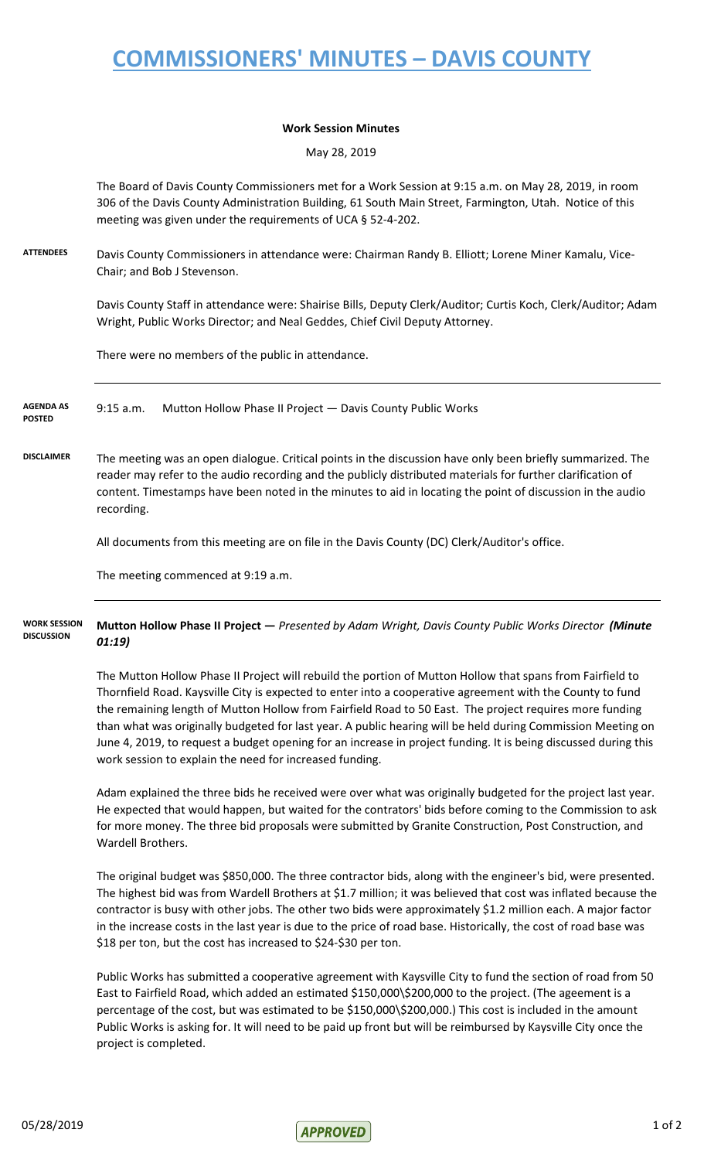## **COMMISSIONERS' MINUTES – DAVIS COUNTY**

## **Work Session Minutes**

May 28, 2019

The Board of Davis County Commissioners met for a Work Session at 9:15 a.m. on May 28, 2019, in room 306 of the Davis County Administration Building, 61 South Main Street, Farmington, Utah. Notice of this meeting was given under the requirements of UCA § 52-4-202.

**ATTENDEES** Davis County Commissioners in attendance were: Chairman Randy B. Elliott; Lorene Miner Kamalu, Vice-Chair; and Bob J Stevenson.

> Davis County Staff in attendance were: Shairise Bills, Deputy Clerk/Auditor; Curtis Koch, Clerk/Auditor; Adam Wright, Public Works Director; and Neal Geddes, Chief Civil Deputy Attorney.

There were no members of the public in attendance.

9:15 a.m. Mutton Hollow Phase II Project — Davis County Public Works **AGENDA AS POSTED**

**DISCLAIMER** The meeting was an open dialogue. Critical points in the discussion have only been briefly summarized. The reader may refer to the audio recording and the publicly distributed materials for further clarification of content. Timestamps have been noted in the minutes to aid in locating the point of discussion in the audio recording.

All documents from this meeting are on file in the Davis County (DC) Clerk/Auditor's office.

The meeting commenced at 9:19 a.m.

**Mutton Hollow Phase II Project —** *Presented by Adam Wright, Davis County Public Works Director (Minute 01:19)* **WORK SESSION DISCUSSION**

> The Mutton Hollow Phase II Project will rebuild the portion of Mutton Hollow that spans from Fairfield to Thornfield Road. Kaysville City is expected to enter into a cooperative agreement with the County to fund the remaining length of Mutton Hollow from Fairfield Road to 50 East. The project requires more funding than what was originally budgeted for last year. A public hearing will be held during Commission Meeting on June 4, 2019, to request a budget opening for an increase in project funding. It is being discussed during this work session to explain the need for increased funding.

> Adam explained the three bids he received were over what was originally budgeted for the project last year. He expected that would happen, but waited for the contrators' bids before coming to the Commission to ask for more money. The three bid proposals were submitted by Granite Construction, Post Construction, and Wardell Brothers.

> The original budget was \$850,000. The three contractor bids, along with the engineer's bid, were presented. The highest bid was from Wardell Brothers at \$1.7 million; it was believed that cost was inflated because the contractor is busy with other jobs. The other two bids were approximately \$1.2 million each. A major factor in the increase costs in the last year is due to the price of road base. Historically, the cost of road base was \$18 per ton, but the cost has increased to \$24-\$30 per ton.

> Public Works has submitted a cooperative agreement with Kaysville City to fund the section of road from 50 East to Fairfield Road, which added an estimated \$150,000\\$200,000 to the project. (The ageement is a percentage of the cost, but was estimated to be \$150,000\\$200,000.) This cost is included in the amount Public Works is asking for. It will need to be paid up front but will be reimbursed by Kaysville City once the project is completed.

 $\sqrt{10000}$  1 of 2